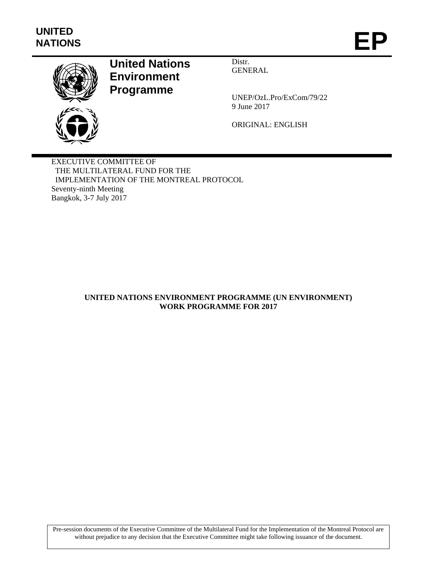

# **United Nations Environment Programme**

Distr. GENERAL

UNEP/OzL.Pro/ExCom/79/22 9 June 2017

ORIGINAL: ENGLISH

EXECUTIVE COMMITTEE OF THE MULTILATERAL FUND FOR THE IMPLEMENTATION OF THE MONTREAL PROTOCOL Seventy-ninth Meeting Bangkok, 3-7 July 2017

# **UNITED NATIONS ENVIRONMENT PROGRAMME (UN ENVIRONMENT) WORK PROGRAMME FOR 2017**

Pre-session documents of the Executive Committee of the Multilateral Fund for the Implementation of the Montreal Protocol are without prejudice to any decision that the Executive Committee might take following issuance of the document.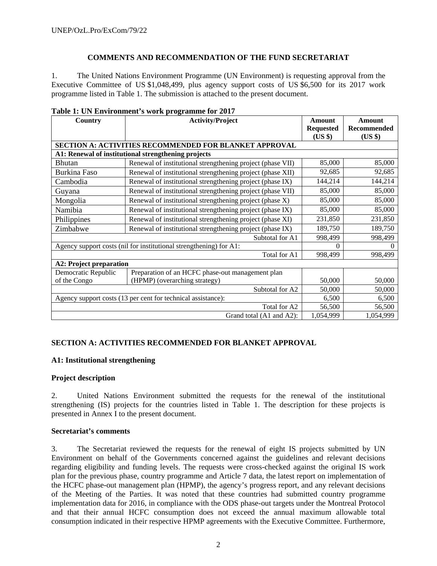## **COMMENTS AND RECOMMENDATION OF THE FUND SECRETARIAT**

1. The United Nations Environment Programme (UN Environment) is requesting approval from the Executive Committee of US \$1,048,499, plus agency support costs of US \$6,500 for its 2017 work programme listed in Table 1. The submission is attached to the present document.

| rabit 1: Ort Environment 3 work programme for 2017<br><b>Country</b>           | <b>Amount</b>                                                 | <b>Amount</b>    |             |  |  |
|--------------------------------------------------------------------------------|---------------------------------------------------------------|------------------|-------------|--|--|
|                                                                                | <b>Activity/Project</b>                                       | <b>Requested</b> | Recommended |  |  |
|                                                                                |                                                               | (US \$)          | (US \$)     |  |  |
|                                                                                | <b>SECTION A: ACTIVITIES RECOMMENDED FOR BLANKET APPROVAL</b> |                  |             |  |  |
|                                                                                | A1: Renewal of institutional strengthening projects           |                  |             |  |  |
| <b>Bhutan</b>                                                                  | Renewal of institutional strengthening project (phase VII)    | 85,000           | 85,000      |  |  |
| <b>Burkina Faso</b>                                                            | Renewal of institutional strengthening project (phase XII)    | 92,685           | 92,685      |  |  |
| Cambodia                                                                       | Renewal of institutional strengthening project (phase IX)     | 144,214          | 144,214     |  |  |
| Guyana                                                                         | Renewal of institutional strengthening project (phase VII)    | 85,000           | 85,000      |  |  |
| Mongolia                                                                       | Renewal of institutional strengthening project (phase X)      | 85,000           | 85,000      |  |  |
| Namibia                                                                        | Renewal of institutional strengthening project (phase IX)     | 85,000           | 85,000      |  |  |
| Philippines                                                                    | Renewal of institutional strengthening project (phase XI)     | 231,850          | 231,850     |  |  |
| Zimbabwe                                                                       | Renewal of institutional strengthening project (phase IX)     | 189,750          | 189,750     |  |  |
|                                                                                | 998,499                                                       | 998,499          |             |  |  |
| Agency support costs (nil for institutional strengthening) for A1:<br>$\Omega$ |                                                               |                  |             |  |  |
|                                                                                | Total for A1                                                  | 998,499          | 998,499     |  |  |
|                                                                                | <b>A2: Project preparation</b>                                |                  |             |  |  |
| Democratic Republic                                                            | Preparation of an HCFC phase-out management plan              |                  |             |  |  |
| of the Congo                                                                   | (HPMP) (overarching strategy)                                 | 50,000           | 50,000      |  |  |
|                                                                                | 50,000                                                        | 50,000           |             |  |  |
| Agency support costs (13 per cent for technical assistance):                   |                                                               | 6,500            | 6,500       |  |  |
|                                                                                | Total for A2                                                  |                  |             |  |  |
|                                                                                | 1,054,999                                                     | 1,054,999        |             |  |  |

## **Table 1: UN Environment's work programme for 2017**

## **SECTION A: ACTIVITIES RECOMMENDED FOR BLANKET APPROVAL**

## **A1: Institutional strengthening**

## **Project description**

2. United Nations Environment submitted the requests for the renewal of the institutional strengthening (IS) projects for the countries listed in Table 1. The description for these projects is presented in Annex I to the present document.

## **Secretariat's comments**

3. The Secretariat reviewed the requests for the renewal of eight IS projects submitted by UN Environment on behalf of the Governments concerned against the guidelines and relevant decisions regarding eligibility and funding levels. The requests were cross-checked against the original IS work plan for the previous phase, country programme and Article 7 data, the latest report on implementation of the HCFC phase-out management plan (HPMP), the agency's progress report, and any relevant decisions of the Meeting of the Parties. It was noted that these countries had submitted country programme implementation data for 2016, in compliance with the ODS phase-out targets under the Montreal Protocol and that their annual HCFC consumption does not exceed the annual maximum allowable total consumption indicated in their respective HPMP agreements with the Executive Committee. Furthermore,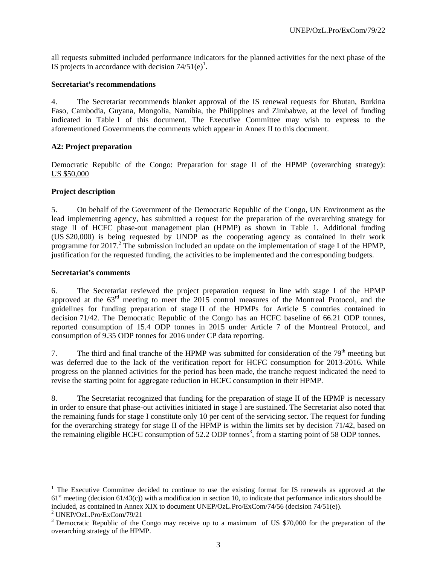all requests submitted included performance indicators for the planned activities for the next phase of the IS projects in accordance with decision  $74/51(e)^1$ .

#### **Secretariat's recommendations**

4. The Secretariat recommends blanket approval of the IS renewal requests for Bhutan, Burkina Faso, Cambodia, Guyana, Mongolia, Namibia, the Philippines and Zimbabwe, at the level of funding indicated in Table 1 of this document. The Executive Committee may wish to express to the aforementioned Governments the comments which appear in Annex II to this document.

## **A2: Project preparation**

Democratic Republic of the Congo: Preparation for stage II of the HPMP (overarching strategy): US \$50,000

#### **Project description**

5. On behalf of the Government of the Democratic Republic of the Congo, UN Environment as the lead implementing agency, has submitted a request for the preparation of the overarching strategy for stage II of HCFC phase-out management plan (HPMP) as shown in Table 1. Additional funding (US \$20,000) is being requested by UNDP as the cooperating agency as contained in their work programme for 2017.<sup>2</sup> The submission included an update on the implementation of stage I of the HPMP, justification for the requested funding, the activities to be implemented and the corresponding budgets.

#### **Secretariat's comments**

6. The Secretariat reviewed the project preparation request in line with stage I of the HPMP approved at the 63rd meeting to meet the 2015 control measures of the Montreal Protocol, and the guidelines for funding preparation of stage II of the HPMPs for Article 5 countries contained in decision 71/42. The Democratic Republic of the Congo has an HCFC baseline of 66.21 ODP tonnes, reported consumption of 15.4 ODP tonnes in 2015 under Article 7 of the Montreal Protocol, and consumption of 9.35 ODP tonnes for 2016 under CP data reporting.

7. The third and final tranche of the HPMP was submitted for consideration of the  $79<sup>th</sup>$  meeting but was deferred due to the lack of the verification report for HCFC consumption for 2013-2016. While progress on the planned activities for the period has been made, the tranche request indicated the need to revise the starting point for aggregate reduction in HCFC consumption in their HPMP.

8. The Secretariat recognized that funding for the preparation of stage II of the HPMP is necessary in order to ensure that phase-out activities initiated in stage I are sustained. The Secretariat also noted that the remaining funds for stage I constitute only 10 per cent of the servicing sector. The request for funding for the overarching strategy for stage II of the HPMP is within the limits set by decision 71/42, based on the remaining eligible HCFC consumption of  $52.2$  ODP tonnes<sup>3</sup>, from a starting point of 58 ODP tonnes.

1

<sup>&</sup>lt;sup>1</sup> The Executive Committee decided to continue to use the existing format for IS renewals as approved at the  $61<sup>st</sup>$  meeting (decision  $61/43(c)$ ) with a modification in section 10, to indicate that performance indicators should be included, as contained in Annex XIX to document UNEP/OzL.Pro/ExCom/74/56 (decision 74/51(e)).

<sup>2</sup> UNEP/OzL.Pro/ExCom/79/21

<sup>&</sup>lt;sup>3</sup> Democratic Republic of the Congo may receive up to a maximum of US \$70,000 for the preparation of the overarching strategy of the HPMP.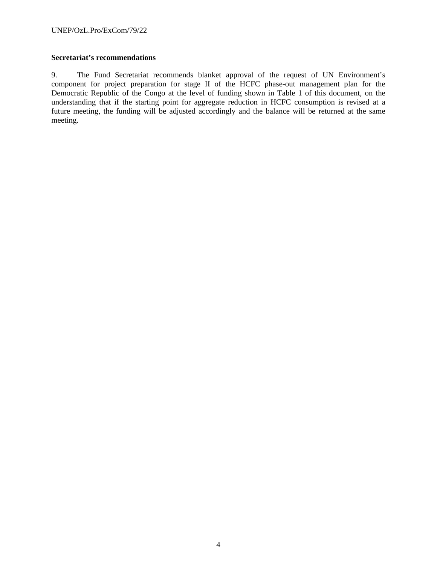## **Secretariat's recommendations**

9. The Fund Secretariat recommends blanket approval of the request of UN Environment's component for project preparation for stage II of the HCFC phase-out management plan for the Democratic Republic of the Congo at the level of funding shown in Table 1 of this document, on the understanding that if the starting point for aggregate reduction in HCFC consumption is revised at a future meeting, the funding will be adjusted accordingly and the balance will be returned at the same meeting.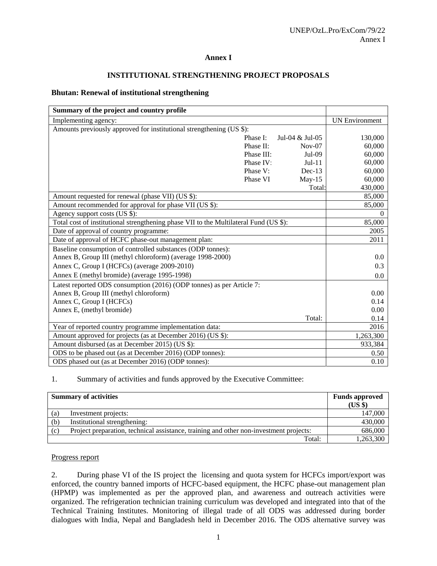#### **Annex I**

## **INSTITUTIONAL STRENGTHENING PROJECT PROPOSALS**

#### **Bhutan: Renewal of institutional strengthening**

| Summary of the project and country profile                                            |            |                 |                       |
|---------------------------------------------------------------------------------------|------------|-----------------|-----------------------|
| Implementing agency:                                                                  |            |                 | <b>UN Environment</b> |
| Amounts previously approved for institutional strengthening (US \$):                  |            |                 |                       |
|                                                                                       | Phase I:   | Jul-04 & Jul-05 | 130,000               |
|                                                                                       | Phase II:  | $Nov-07$        | 60,000                |
|                                                                                       | Phase III: | $Jul-09$        | 60,000                |
|                                                                                       | Phase IV:  | $Jul-11$        | 60,000                |
|                                                                                       | Phase V:   | $Dec-13$        | 60,000                |
|                                                                                       | Phase VI   | $May-15$        | 60,000                |
|                                                                                       |            | Total:          | 430,000               |
| Amount requested for renewal (phase VII) (US \$):                                     |            |                 | 85,000                |
| Amount recommended for approval for phase VII (US \$):                                |            |                 | 85,000                |
| Agency support costs (US \$):                                                         |            |                 | $\theta$              |
| Total cost of institutional strengthening phase VII to the Multilateral Fund (US \$): |            |                 | 85,000                |
| Date of approval of country programme:                                                |            |                 | 2005                  |
| Date of approval of HCFC phase-out management plan:                                   |            |                 | 2011                  |
| Baseline consumption of controlled substances (ODP tonnes):                           |            |                 |                       |
| Annex B, Group III (methyl chloroform) (average 1998-2000)                            |            |                 | 0.0                   |
| Annex C, Group I (HCFCs) (average 2009-2010)                                          |            |                 | 0.3                   |
| Annex E (methyl bromide) (average 1995-1998)                                          |            |                 | 0.0                   |
| Latest reported ODS consumption (2016) (ODP tonnes) as per Article 7:                 |            |                 |                       |
| Annex B, Group III (methyl chloroform)                                                |            |                 | 0.00                  |
| Annex C, Group I (HCFCs)                                                              |            |                 | 0.14                  |
| Annex E, (methyl bromide)                                                             |            |                 | 0.00                  |
|                                                                                       |            | Total:          | 0.14                  |
| Year of reported country programme implementation data:                               |            |                 | 2016                  |
| Amount approved for projects (as at December 2016) (US \$):                           |            |                 | 1,263,300             |
| Amount disbursed (as at December 2015) (US \$):                                       |            |                 | 933,384               |
| ODS to be phased out (as at December 2016) (ODP tonnes):                              |            |                 | 0.50                  |
| ODS phased out (as at December 2016) (ODP tonnes):                                    |            |                 | 0.10                  |

1. Summary of activities and funds approved by the Executive Committee:

| <b>Summary of activities</b> |                                                                                        | <b>Funds approved</b><br>(US \$) |
|------------------------------|----------------------------------------------------------------------------------------|----------------------------------|
| (a)                          | Investment projects:                                                                   | 147,000                          |
| (b)                          | Institutional strengthening:                                                           | 430,000                          |
| (c)                          | Project preparation, technical assistance, training and other non-investment projects: | 686,000                          |
|                              | Total:                                                                                 | 1,263,300                        |

## Progress report

2. During phase VI of the IS project the licensing and quota system for HCFCs import/export was enforced, the country banned imports of HCFC-based equipment, the HCFC phase-out management plan (HPMP) was implemented as per the approved plan, and awareness and outreach activities were organized. The refrigeration technician training curriculum was developed and integrated into that of the Technical Training Institutes. Monitoring of illegal trade of all ODS was addressed during border dialogues with India, Nepal and Bangladesh held in December 2016. The ODS alternative survey was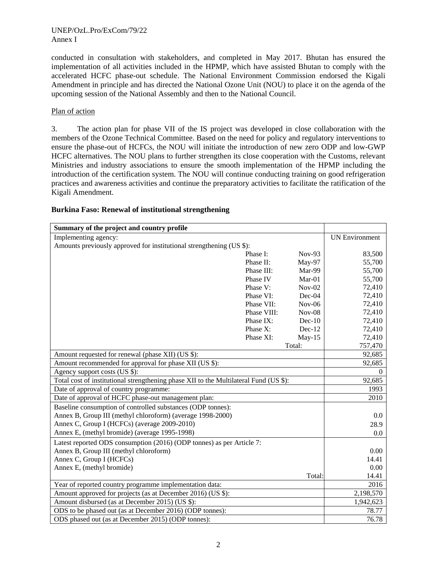conducted in consultation with stakeholders, and completed in May 2017. Bhutan has ensured the implementation of all activities included in the HPMP, which have assisted Bhutan to comply with the accelerated HCFC phase-out schedule. The National Environment Commission endorsed the Kigali Amendment in principle and has directed the National Ozone Unit (NOU) to place it on the agenda of the upcoming session of the National Assembly and then to the National Council.

#### Plan of action

3. The action plan for phase VII of the IS project was developed in close collaboration with the members of the Ozone Technical Committee. Based on the need for policy and regulatory interventions to ensure the phase-out of HCFCs, the NOU will initiate the introduction of new zero ODP and low-GWP HCFC alternatives. The NOU plans to further strengthen its close cooperation with the Customs, relevant Ministries and industry associations to ensure the smooth implementation of the HPMP including the introduction of the certification system. The NOU will continue conducting training on good refrigeration practices and awareness activities and continue the preparatory activities to facilitate the ratification of the Kigali Amendment.

| Summary of the project and country profile                                            |             |          |                       |
|---------------------------------------------------------------------------------------|-------------|----------|-----------------------|
| Implementing agency:                                                                  |             |          | <b>UN Environment</b> |
| Amounts previously approved for institutional strengthening (US \$):                  |             |          |                       |
|                                                                                       | Phase I:    | $Nov-93$ | 83,500                |
|                                                                                       | Phase II:   | May-97   | 55,700                |
|                                                                                       | Phase III:  | Mar-99   | 55,700                |
|                                                                                       | Phase IV    | Mar-01   | 55,700                |
|                                                                                       | Phase V:    | $Nov-02$ | 72,410                |
|                                                                                       | Phase VI:   | $Dec-04$ | 72,410                |
|                                                                                       | Phase VII:  | $Nov-06$ | 72,410                |
|                                                                                       | Phase VIII: | $Nov-08$ | 72,410                |
|                                                                                       | Phase IX:   | $Dec-10$ | 72,410                |
|                                                                                       | Phase X:    | $Dec-12$ | 72,410                |
|                                                                                       | Phase XI:   | $May-15$ | 72,410                |
|                                                                                       |             | Total:   | 757,470               |
| Amount requested for renewal (phase XII) (US \$):                                     |             |          | 92,685                |
| Amount recommended for approval for phase XII (US \$):                                |             |          | 92,685                |
| Agency support costs (US \$):                                                         |             |          | $\Omega$              |
| Total cost of institutional strengthening phase XII to the Multilateral Fund (US \$): |             |          | 92,685                |
| Date of approval of country programme:                                                |             |          | 1993                  |
| Date of approval of HCFC phase-out management plan:                                   |             |          | 2010                  |
| Baseline consumption of controlled substances (ODP tonnes):                           |             |          |                       |
| Annex B, Group III (methyl chloroform) (average 1998-2000)                            |             |          | 0.0                   |
| Annex C, Group I (HCFCs) (average 2009-2010)                                          |             |          | 28.9                  |
| Annex E, (methyl bromide) (average 1995-1998)                                         |             |          | 0.0                   |
| Latest reported ODS consumption (2016) (ODP tonnes) as per Article 7:                 |             |          |                       |
| Annex B, Group III (methyl chloroform)                                                |             |          | 0.00                  |
| Annex C, Group I (HCFCs)                                                              |             |          | 14.41                 |
| Annex E, (methyl bromide)                                                             |             |          | 0.00                  |
|                                                                                       |             | Total:   | 14.41                 |
| Year of reported country programme implementation data:                               |             |          | 2016                  |
| Amount approved for projects (as at December 2016) (US \$):                           |             |          | 2,198,570             |
| Amount disbursed (as at December 2015) (US \$):                                       |             |          | 1,942,623             |
| ODS to be phased out (as at December 2016) (ODP tonnes):                              |             |          | 78.77                 |
| ODS phased out (as at December 2015) (ODP tonnes):                                    |             |          | 76.78                 |

## **Burkina Faso: Renewal of institutional strengthening**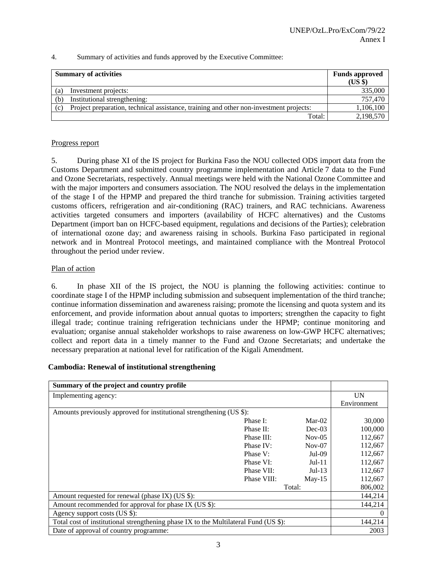| <b>Summary of activities</b> | <b>Funds approved</b><br>(US \$)                                                       |           |
|------------------------------|----------------------------------------------------------------------------------------|-----------|
| (a)                          | Investment projects:                                                                   | 335,000   |
| (b)                          | Institutional strengthening:                                                           | 757,470   |
| (c)                          | Project preparation, technical assistance, training and other non-investment projects: | 1,106,100 |
|                              | Total:                                                                                 | 2,198,570 |

#### 4. Summary of activities and funds approved by the Executive Committee:

#### Progress report

5. During phase XI of the IS project for Burkina Faso the NOU collected ODS import data from the Customs Department and submitted country programme implementation and Article 7 data to the Fund and Ozone Secretariats, respectively. Annual meetings were held with the National Ozone Committee and with the major importers and consumers association. The NOU resolved the delays in the implementation of the stage I of the HPMP and prepared the third tranche for submission. Training activities targeted customs officers, refrigeration and air-conditioning (RAC) trainers, and RAC technicians. Awareness activities targeted consumers and importers (availability of HCFC alternatives) and the Customs Department (import ban on HCFC-based equipment, regulations and decisions of the Parties); celebration of international ozone day; and awareness raising in schools. Burkina Faso participated in regional network and in Montreal Protocol meetings, and maintained compliance with the Montreal Protocol throughout the period under review.

#### Plan of action

6. In phase XII of the IS project, the NOU is planning the following activities: continue to coordinate stage I of the HPMP including submission and subsequent implementation of the third tranche; continue information dissemination and awareness raising; promote the licensing and quota system and its enforcement, and provide information about annual quotas to importers; strengthen the capacity to fight illegal trade; continue training refrigeration technicians under the HPMP; continue monitoring and evaluation; organise annual stakeholder workshops to raise awareness on low-GWP HCFC alternatives; collect and report data in a timely manner to the Fund and Ozone Secretariats; and undertake the necessary preparation at national level for ratification of the Kigali Amendment.

## **Cambodia: Renewal of institutional strengthening**

| Summary of the project and country profile                                           |             |          |             |
|--------------------------------------------------------------------------------------|-------------|----------|-------------|
| Implementing agency:                                                                 |             |          | <b>UN</b>   |
|                                                                                      |             |          | Environment |
| Amounts previously approved for institutional strengthening (US \$):                 |             |          |             |
|                                                                                      | Phase I:    | $Mar-02$ | 30,000      |
|                                                                                      | Phase II:   | $Dec-03$ | 100,000     |
|                                                                                      | Phase III:  | $Nov-05$ | 112,667     |
|                                                                                      | Phase IV:   | $Nov-07$ | 112,667     |
|                                                                                      | Phase V:    | Jul-09   | 112,667     |
|                                                                                      | Phase VI:   | $Jul-11$ | 112,667     |
|                                                                                      | Phase VII:  | $Jul-13$ | 112,667     |
|                                                                                      | Phase VIII: | $Mav-15$ | 112,667     |
|                                                                                      |             | Total:   | 806,002     |
| Amount requested for renewal (phase IX) (US \$):                                     |             |          | 144,214     |
| Amount recommended for approval for phase IX (US \$):                                |             |          | 144,214     |
| Agency support costs (US \$):                                                        |             |          |             |
| Total cost of institutional strengthening phase IX to the Multilateral Fund (US \$): |             |          | 144,214     |
| Date of approval of country programme:                                               |             |          | 2003        |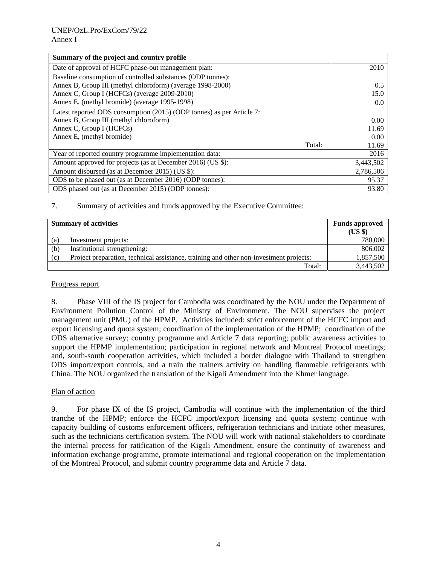| Summary of the project and country profile                            |           |
|-----------------------------------------------------------------------|-----------|
| Date of approval of HCFC phase-out management plan:                   | 2010      |
| Baseline consumption of controlled substances (ODP tonnes):           |           |
| Annex B, Group III (methyl chloroform) (average 1998-2000)            | 0.5       |
| Annex C, Group I (HCFCs) (average 2009-2010)                          | 15.0      |
| Annex E, (methyl bromide) (average 1995-1998)                         | 0.0       |
| Latest reported ODS consumption (2015) (ODP tonnes) as per Article 7: |           |
| Annex B, Group III (methyl chloroform)                                | 0.00      |
| Annex C, Group I (HCFCs)                                              | 11.69     |
| Annex E, (methyl bromide)                                             | 0.00      |
| Total:                                                                | 11.69     |
| Year of reported country programme implementation data:               | 2016      |
| Amount approved for projects (as at December 2016) (US \$):           | 3,443,502 |
| Amount disbursed (as at December 2015) (US \$):                       | 2,786,506 |
| ODS to be phased out (as at December 2016) (ODP tonnes):              | 95.37     |
| ODS phased out (as at December 2015) (ODP tonnes):                    | 93.80     |

## 7. Summary of activities and funds approved by the Executive Committee:

| <b>Summary of activities</b> |                                                                                        | <b>Funds approved</b><br>$(US \$ |
|------------------------------|----------------------------------------------------------------------------------------|----------------------------------|
| (a)                          | Investment projects:                                                                   | 780,000                          |
| (b)                          | Institutional strengthening:                                                           | 806,002                          |
| (c)                          | Project preparation, technical assistance, training and other non-investment projects: | 1,857,500                        |
|                              | Total:                                                                                 | 3,443,502                        |

#### Progress report

8. Phase VIII of the IS project for Cambodia was coordinated by the NOU under the Department of Environment Pollution Control of the Ministry of Environment. The NOU supervises the project management unit (PMU) of the HPMP. Activities included: strict enforcement of the HCFC import and export licensing and quota system; coordination of the implementation of the HPMP; coordination of the ODS alternative survey; country programme and Article 7 data reporting; public awareness activities to support the HPMP implementation; participation in regional network and Montreal Protocol meetings; and, south-south cooperation activities, which included a border dialogue with Thailand to strengthen ODS import/export controls, and a train the trainers activity on handling flammable refrigerants with China. The NOU organized the translation of the Kigali Amendment into the Khmer language.

## Plan of action

9. For phase IX of the IS project, Cambodia will continue with the implementation of the third tranche of the HPMP; enforce the HCFC import/export licensing and quota system; continue with capacity building of customs enforcement officers, refrigeration technicians and initiate other measures, such as the technicians certification system. The NOU will work with national stakeholders to coordinate the internal process for ratification of the Kigali Amendment, ensure the continuity of awareness and information exchange programme, promote international and regional cooperation on the implementation of the Montreal Protocol, and submit country programme data and Article 7 data.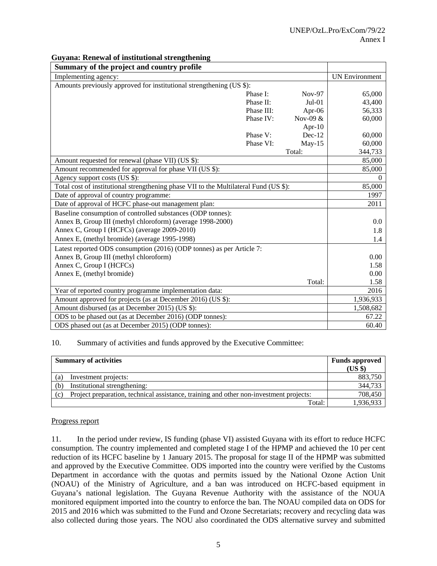| Summary of the project and country profile                                            |            |            |                       |
|---------------------------------------------------------------------------------------|------------|------------|-----------------------|
| Implementing agency:                                                                  |            |            | <b>UN Environment</b> |
| Amounts previously approved for institutional strengthening (US \$):                  |            |            |                       |
|                                                                                       | Phase I:   | $Nov-97$   | 65,000                |
|                                                                                       | Phase II:  | $Jul-01$   | 43,400                |
|                                                                                       | Phase III: | Apr-06     | 56,333                |
|                                                                                       | Phase IV:  | Nov-09 $&$ | 60,000                |
|                                                                                       |            | Apr- $10$  |                       |
|                                                                                       | Phase V:   | $Dec-12$   | 60,000                |
|                                                                                       | Phase VI:  | $May-15$   | 60,000                |
|                                                                                       |            | Total:     | 344,733               |
| Amount requested for renewal (phase VII) (US \$):                                     |            |            | 85,000                |
| Amount recommended for approval for phase VII (US \$):                                |            |            | 85,000                |
| Agency support costs (US \$):                                                         |            |            | $\Omega$              |
| Total cost of institutional strengthening phase VII to the Multilateral Fund (US \$): |            |            | 85,000                |
| Date of approval of country programme:                                                |            |            | 1997                  |
| Date of approval of HCFC phase-out management plan:                                   |            |            | 2011                  |
| Baseline consumption of controlled substances (ODP tonnes):                           |            |            |                       |
| Annex B, Group III (methyl chloroform) (average 1998-2000)                            |            |            | 0.0                   |
| Annex C, Group I (HCFCs) (average 2009-2010)                                          |            |            | 1.8                   |
| Annex E, (methyl bromide) (average 1995-1998)                                         |            |            | 1.4                   |
| Latest reported ODS consumption (2016) (ODP tonnes) as per Article 7:                 |            |            |                       |
| Annex B, Group III (methyl chloroform)                                                |            |            | 0.00                  |
| Annex C, Group I (HCFCs)                                                              |            |            | 1.58                  |
| Annex E, (methyl bromide)                                                             |            |            | 0.00                  |
|                                                                                       |            | Total:     | 1.58                  |
| Year of reported country programme implementation data:                               |            |            | 2016                  |
| Amount approved for projects (as at December 2016) (US \$):                           |            |            | 1,936,933             |
| Amount disbursed (as at December 2015) (US \$):                                       |            |            | 1,508,682             |
| ODS to be phased out (as at December 2016) (ODP tonnes):                              |            |            | 67.22                 |
| ODS phased out (as at December 2015) (ODP tonnes):                                    |            |            | 60.40                 |

## **Guyana: Renewal of institutional strengthening**

#### 10. Summary of activities and funds approved by the Executive Committee:

| <b>Summary of activities</b>                                                                  |                      | <b>Funds approved</b> |
|-----------------------------------------------------------------------------------------------|----------------------|-----------------------|
|                                                                                               |                      | $(US \$               |
| (a)                                                                                           | Investment projects: |                       |
| Institutional strengthening:<br>(b)                                                           |                      | 344,733               |
| Project preparation, technical assistance, training and other non-investment projects:<br>(c) |                      | 708,450               |
| Total:                                                                                        |                      | 1,936,933             |

#### Progress report

11. In the period under review, IS funding (phase VI) assisted Guyana with its effort to reduce HCFC consumption. The country implemented and completed stage I of the HPMP and achieved the 10 per cent reduction of its HCFC baseline by 1 January 2015. The proposal for stage II of the HPMP was submitted and approved by the Executive Committee. ODS imported into the country were verified by the Customs Department in accordance with the quotas and permits issued by the National Ozone Action Unit (NOAU) of the Ministry of Agriculture, and a ban was introduced on HCFC-based equipment in Guyana's national legislation. The Guyana Revenue Authority with the assistance of the NOUA monitored equipment imported into the country to enforce the ban. The NOAU compiled data on ODS for 2015 and 2016 which was submitted to the Fund and Ozone Secretariats; recovery and recycling data was also collected during those years. The NOU also coordinated the ODS alternative survey and submitted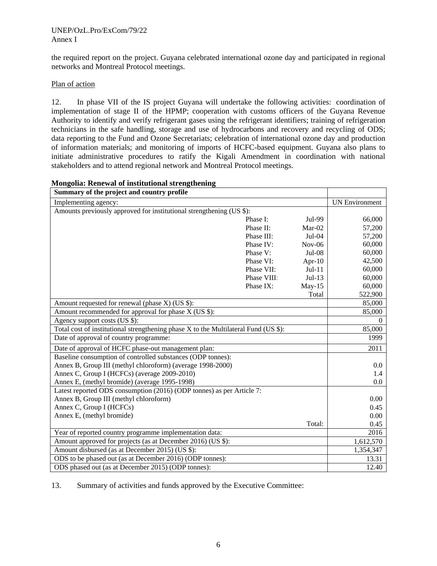the required report on the project. Guyana celebrated international ozone day and participated in regional networks and Montreal Protocol meetings.

## Plan of action

12. In phase VII of the IS project Guyana will undertake the following activities: coordination of implementation of stage II of the HPMP; cooperation with customs officers of the Guyana Revenue Authority to identify and verify refrigerant gases using the refrigerant identifiers; training of refrigeration technicians in the safe handling, storage and use of hydrocarbons and recovery and recycling of ODS; data reporting to the Fund and Ozone Secretariats; celebration of international ozone day and production of information materials; and monitoring of imports of HCFC-based equipment. Guyana also plans to initiate administrative procedures to ratify the Kigali Amendment in coordination with national stakeholders and to attend regional network and Montreal Protocol meetings.

| Summary of the project and country profile                                          |             |           |                       |
|-------------------------------------------------------------------------------------|-------------|-----------|-----------------------|
| Implementing agency:                                                                |             |           | <b>UN Environment</b> |
| Amounts previously approved for institutional strengthening (US \$):                |             |           |                       |
|                                                                                     | Phase I:    | Jul-99    | 66,000                |
|                                                                                     | Phase II:   | Mar-02    | 57,200                |
|                                                                                     | Phase III:  | $Jul-04$  | 57,200                |
|                                                                                     | Phase IV:   | $Nov-06$  | 60,000                |
|                                                                                     | Phase V:    | $Jul-08$  | 60,000                |
|                                                                                     | Phase VI:   | Apr- $10$ | 42,500                |
|                                                                                     | Phase VII:  | $Jul-11$  | 60,000                |
|                                                                                     | Phase VIII: | $Jul-13$  | 60,000                |
|                                                                                     | Phase IX:   | $May-15$  | 60,000                |
|                                                                                     |             | Total     | 522,900               |
| Amount requested for renewal (phase X) (US \$):                                     |             |           | 85,000                |
| Amount recommended for approval for phase X (US \$):                                |             |           | 85,000                |
| Agency support costs (US \$):                                                       |             |           | $\Omega$              |
| Total cost of institutional strengthening phase X to the Multilateral Fund (US \$): |             |           | 85,000                |
| Date of approval of country programme:                                              |             |           | 1999                  |
| Date of approval of HCFC phase-out management plan:                                 |             |           | 2011                  |
| Baseline consumption of controlled substances (ODP tonnes):                         |             |           |                       |
| Annex B, Group III (methyl chloroform) (average 1998-2000)                          |             |           | 0.0                   |
| Annex C, Group I (HCFCs) (average 2009-2010)                                        |             |           | 1.4                   |
| Annex E, (methyl bromide) (average 1995-1998)                                       |             |           | 0.0                   |
| Latest reported ODS consumption (2016) (ODP tonnes) as per Article 7:               |             |           |                       |
| Annex B, Group III (methyl chloroform)                                              |             |           | 0.00                  |
| Annex C, Group I (HCFCs)                                                            |             |           | 0.45                  |
| Annex E, (methyl bromide)                                                           |             |           | 0.00                  |
|                                                                                     |             | Total:    | 0.45                  |
| Year of reported country programme implementation data:                             |             |           | 2016                  |
| Amount approved for projects (as at December 2016) (US \$):                         |             |           | 1,612,570             |
| Amount disbursed (as at December 2015) (US \$):                                     |             |           | 1,354,347             |
| ODS to be phased out (as at December 2016) (ODP tonnes):                            |             |           | 13.31                 |
| ODS phased out (as at December 2015) (ODP tonnes):                                  |             |           | 12.40                 |

## **Mongolia: Renewal of institutional strengthening**

13. Summary of activities and funds approved by the Executive Committee: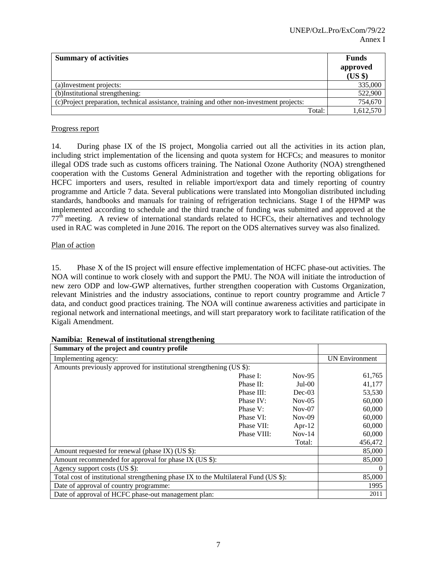| <b>Summary of activities</b>                                                               | <b>Funds</b><br>approved<br>(US \$) |
|--------------------------------------------------------------------------------------------|-------------------------------------|
| (a) Investment projects:                                                                   | 335,000                             |
| (b)Institutional strengthening:                                                            | 522,900                             |
| (c) Project preparation, technical assistance, training and other non-investment projects: | 754,670                             |
| Total:                                                                                     | 1,612,570                           |

## Progress report

14. During phase IX of the IS project, Mongolia carried out all the activities in its action plan, including strict implementation of the licensing and quota system for HCFCs; and measures to monitor illegal ODS trade such as customs officers training. The National Ozone Authority (NOA) strengthened cooperation with the Customs General Administration and together with the reporting obligations for HCFC importers and users, resulted in reliable import/export data and timely reporting of country programme and Article 7 data. Several publications were translated into Mongolian distributed including standards, handbooks and manuals for training of refrigeration technicians. Stage I of the HPMP was implemented according to schedule and the third tranche of funding was submitted and approved at the  $77<sup>th</sup>$  meeting. A review of international standards related to HCFCs, their alternatives and technology used in RAC was completed in June 2016. The report on the ODS alternatives survey was also finalized.

## Plan of action

15. Phase X of the IS project will ensure effective implementation of HCFC phase-out activities. The NOA will continue to work closely with and support the PMU. The NOA will initiate the introduction of new zero ODP and low-GWP alternatives, further strengthen cooperation with Customs Organization, relevant Ministries and the industry associations, continue to report country programme and Article 7 data, and conduct good practices training. The NOA will continue awareness activities and participate in regional network and international meetings, and will start preparatory work to facilitate ratification of the Kigali Amendment.

| Summary of the project and country profile                                           |             |          |                       |
|--------------------------------------------------------------------------------------|-------------|----------|-----------------------|
| Implementing agency:                                                                 |             |          | <b>UN Environment</b> |
| Amounts previously approved for institutional strengthening (US \$):                 |             |          |                       |
|                                                                                      | Phase I:    | $Nov-95$ | 61,765                |
|                                                                                      | Phase II:   | $Jul-00$ | 41,177                |
|                                                                                      | Phase III:  | $Dec-03$ | 53,530                |
|                                                                                      | Phase IV:   | $Nov-05$ | 60,000                |
|                                                                                      | Phase V:    | $Nov-07$ | 60,000                |
|                                                                                      | Phase VI:   | $Nov-09$ | 60,000                |
|                                                                                      | Phase VII:  | Apr-12   | 60,000                |
|                                                                                      | Phase VIII: | $Nov-14$ | 60,000                |
|                                                                                      |             | Total:   | 456,472               |
| Amount requested for renewal (phase IX) (US \$):                                     |             |          | 85,000                |
| Amount recommended for approval for phase IX (US \$):                                |             |          | 85,000                |
| Agency support costs (US \$):                                                        |             |          | $\theta$              |
| Total cost of institutional strengthening phase IX to the Multilateral Fund (US \$): |             |          | 85,000                |
| Date of approval of country programme:                                               |             |          | 1995                  |
| Date of approval of HCFC phase-out management plan:                                  |             |          | 2011                  |

## **Namibia: Renewal of institutional strengthening**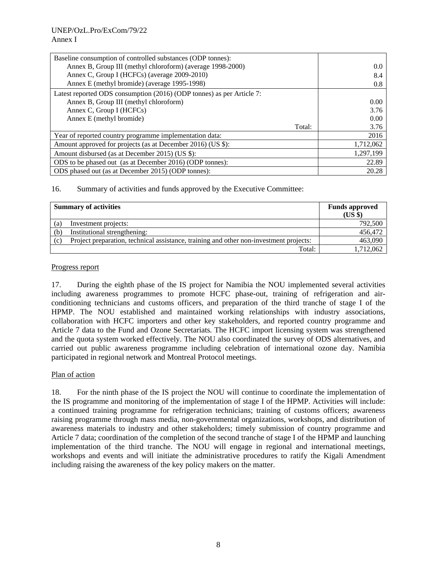| Baseline consumption of controlled substances (ODP tonnes):           |           |
|-----------------------------------------------------------------------|-----------|
| Annex B, Group III (methyl chloroform) (average 1998-2000)            | 0.0       |
| Annex C, Group I (HCFCs) (average 2009-2010)                          | 8.4       |
| Annex E (methyl bromide) (average 1995-1998)                          | 0.8       |
| Latest reported ODS consumption (2016) (ODP tonnes) as per Article 7: |           |
| Annex B, Group III (methyl chloroform)                                | 0.00      |
| Annex C, Group I (HCFCs)                                              | 3.76      |
| Annex E (methyl bromide)                                              | 0.00      |
| Total:                                                                | 3.76      |
| Year of reported country programme implementation data:               | 2016      |
| Amount approved for projects (as at December 2016) (US \$):           | 1,712,062 |
| Amount disbursed (as at December 2015) (US \$):                       | 1,297,199 |
| ODS to be phased out (as at December 2016) (ODP tonnes):              | 22.89     |
| ODS phased out (as at December 2015) (ODP tonnes):                    | 20.28     |

16. Summary of activities and funds approved by the Executive Committee:

|     | <b>Summary of activities</b>                                                           | <b>Funds approved</b><br>(US \$) |
|-----|----------------------------------------------------------------------------------------|----------------------------------|
| (a) | Investment projects:                                                                   | 792,500                          |
| (b) | Institutional strengthening:                                                           | 456,472                          |
| (c) | Project preparation, technical assistance, training and other non-investment projects: | 463,090                          |
|     | Total:                                                                                 | 1,712,062                        |

## Progress report

17. During the eighth phase of the IS project for Namibia the NOU implemented several activities including awareness programmes to promote HCFC phase-out, training of refrigeration and airconditioning technicians and customs officers, and preparation of the third tranche of stage I of the HPMP. The NOU established and maintained working relationships with industry associations, collaboration with HCFC importers and other key stakeholders, and reported country programme and Article 7 data to the Fund and Ozone Secretariats. The HCFC import licensing system was strengthened and the quota system worked effectively. The NOU also coordinated the survey of ODS alternatives, and carried out public awareness programme including celebration of international ozone day. Namibia participated in regional network and Montreal Protocol meetings.

## Plan of action

18. For the ninth phase of the IS project the NOU will continue to coordinate the implementation of the IS programme and monitoring of the implementation of stage I of the HPMP. Activities will include: a continued training programme for refrigeration technicians; training of customs officers; awareness raising programme through mass media, non-governmental organizations, workshops, and distribution of awareness materials to industry and other stakeholders; timely submission of country programme and Article 7 data; coordination of the completion of the second tranche of stage I of the HPMP and launching implementation of the third tranche. The NOU will engage in regional and international meetings, workshops and events and will initiate the administrative procedures to ratify the Kigali Amendment including raising the awareness of the key policy makers on the matter.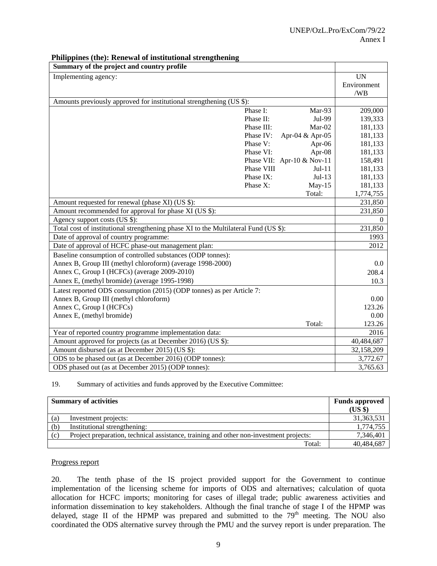| Summary of the project and country profile                                           |            |                              |             |
|--------------------------------------------------------------------------------------|------------|------------------------------|-------------|
| Implementing agency:                                                                 |            |                              | <b>UN</b>   |
|                                                                                      |            |                              | Environment |
|                                                                                      |            |                              | /WB         |
| Amounts previously approved for institutional strengthening (US \$):                 |            |                              |             |
|                                                                                      | Phase I:   | Mar-93                       | 209,000     |
|                                                                                      | Phase II:  | Jul-99                       | 139,333     |
|                                                                                      | Phase III: | Mar-02                       | 181,133     |
|                                                                                      | Phase IV:  | Apr-04 & Apr-05              | 181,133     |
|                                                                                      | Phase V:   | Apr-06                       | 181,133     |
|                                                                                      | Phase VI:  | Apr-08                       | 181,133     |
|                                                                                      |            | Phase VII: Apr-10 $& Nov-11$ | 158,491     |
|                                                                                      | Phase VIII | $Jul-11$                     | 181,133     |
|                                                                                      | Phase IX:  | $Jul-13$                     | 181,133     |
|                                                                                      | Phase X:   | $May-15$                     | 181,133     |
|                                                                                      |            | Total:                       | 1,774,755   |
| Amount requested for renewal (phase XI) (US \$):                                     |            |                              | 231,850     |
| Amount recommended for approval for phase XI (US \$):                                |            |                              | 231,850     |
| Agency support costs (US \$):                                                        |            |                              | $\theta$    |
| Total cost of institutional strengthening phase XI to the Multilateral Fund (US \$): |            |                              | 231,850     |
| Date of approval of country programme:                                               |            |                              | 1993        |
| Date of approval of HCFC phase-out management plan:                                  |            |                              | 2012        |
| Baseline consumption of controlled substances (ODP tonnes):                          |            |                              |             |
| Annex B, Group III (methyl chloroform) (average 1998-2000)                           |            |                              | 0.0         |
| Annex C, Group I (HCFCs) (average 2009-2010)                                         |            |                              | 208.4       |
| Annex E, (methyl bromide) (average 1995-1998)                                        |            |                              | 10.3        |
| Latest reported ODS consumption (2015) (ODP tonnes) as per Article 7:                |            |                              |             |
| Annex B, Group III (methyl chloroform)                                               |            |                              | 0.00        |
| Annex C, Group I (HCFCs)                                                             |            |                              | 123.26      |
| Annex E, (methyl bromide)                                                            |            |                              | 0.00        |
|                                                                                      |            | Total:                       | 123.26      |
| Year of reported country programme implementation data:                              |            |                              | 2016        |
| Amount approved for projects (as at December 2016) (US \$):                          |            |                              | 40,484,687  |
| Amount disbursed (as at December 2015) (US \$):                                      |            |                              | 32,158,209  |
| ODS to be phased out (as at December 2016) (ODP tonnes):                             |            |                              | 3,772.67    |
| ODS phased out (as at December 2015) (ODP tonnes):                                   |            |                              | 3,765.63    |

#### **Philippines (the): Renewal of institutional strengthening**

19. Summary of activities and funds approved by the Executive Committee:

|     | <b>Summary of activities</b>                                                           | <b>Funds approved</b><br>(US \$) |
|-----|----------------------------------------------------------------------------------------|----------------------------------|
| (a) | Investment projects:                                                                   | 31, 363, 531                     |
| (b) | Institutional strengthening:                                                           | 1,774,755                        |
| (c) | Project preparation, technical assistance, training and other non-investment projects: | 7,346,401                        |
|     | Total:                                                                                 | 40,484,687                       |

#### Progress report

20. The tenth phase of the IS project provided support for the Government to continue implementation of the licensing scheme for imports of ODS and alternatives; calculation of quota allocation for HCFC imports; monitoring for cases of illegal trade; public awareness activities and information dissemination to key stakeholders. Although the final tranche of stage I of the HPMP was delayed, stage II of the HPMP was prepared and submitted to the  $79<sup>th</sup>$  meeting. The NOU also coordinated the ODS alternative survey through the PMU and the survey report is under preparation. The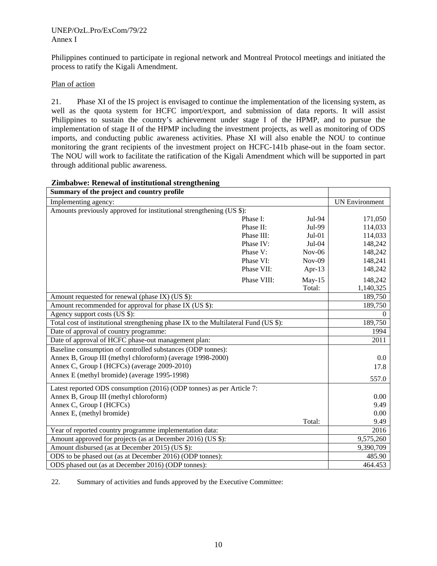Philippines continued to participate in regional network and Montreal Protocol meetings and initiated the process to ratify the Kigali Amendment.

## Plan of action

21. Phase XI of the IS project is envisaged to continue the implementation of the licensing system, as well as the quota system for HCFC import/export, and submission of data reports. It will assist Philippines to sustain the country's achievement under stage I of the HPMP, and to pursue the implementation of stage II of the HPMP including the investment projects, as well as monitoring of ODS imports, and conducting public awareness activities. Phase XI will also enable the NOU to continue monitoring the grant recipients of the investment project on HCFC-141b phase-out in the foam sector. The NOU will work to facilitate the ratification of the Kigali Amendment which will be supported in part through additional public awareness.

| Summary of the project and country profile                                           |             |           |                       |
|--------------------------------------------------------------------------------------|-------------|-----------|-----------------------|
| Implementing agency:                                                                 |             |           | <b>UN Environment</b> |
| Amounts previously approved for institutional strengthening (US \$):                 |             |           |                       |
|                                                                                      | Phase I:    | Jul-94    | 171,050               |
|                                                                                      | Phase II:   | Jul-99    | 114,033               |
|                                                                                      | Phase III:  | $Jul-01$  | 114,033               |
|                                                                                      | Phase IV:   | $Jul-04$  | 148,242               |
|                                                                                      | Phase V:    | $Nov-06$  | 148,242               |
|                                                                                      | Phase VI:   | $Nov-09$  | 148,241               |
|                                                                                      | Phase VII:  | Apr- $13$ | 148,242               |
|                                                                                      | Phase VIII: | $May-15$  | 148,242               |
|                                                                                      |             | Total:    | 1,140,325             |
| Amount requested for renewal (phase IX) (US \$):                                     |             |           | 189,750               |
| Amount recommended for approval for phase IX (US \$):                                |             |           | 189,750               |
| Agency support costs (US \$):                                                        |             |           | $\Omega$              |
| Total cost of institutional strengthening phase IX to the Multilateral Fund (US \$): |             |           | 189,750               |
| Date of approval of country programme:                                               |             |           | 1994                  |
| Date of approval of HCFC phase-out management plan:                                  |             |           | 2011                  |
| Baseline consumption of controlled substances (ODP tonnes):                          |             |           |                       |
| Annex B, Group III (methyl chloroform) (average 1998-2000)                           |             |           | 0.0                   |
| Annex C, Group I (HCFCs) (average 2009-2010)                                         |             |           | 17.8                  |
| Annex E (methyl bromide) (average 1995-1998)                                         |             |           | 557.0                 |
| Latest reported ODS consumption (2016) (ODP tonnes) as per Article 7:                |             |           |                       |
| Annex B, Group III (methyl chloroform)                                               |             |           | 0.00                  |
| Annex C, Group I (HCFCs)                                                             |             |           | 9.49                  |
| Annex E, (methyl bromide)                                                            |             |           | 0.00                  |
|                                                                                      |             | Total:    | 9.49                  |
| Year of reported country programme implementation data:                              |             |           | 2016                  |
| Amount approved for projects (as at December 2016) (US \$):                          |             |           | 9,575,260             |
| Amount disbursed (as at December 2015) (US \$):                                      |             |           | 9,390,709             |
| ODS to be phased out (as at December 2016) (ODP tonnes):                             |             |           | 485.90                |
| ODS phased out (as at December 2016) (ODP tonnes):                                   |             |           | 464.453               |

## **Zimbabwe: Renewal of institutional strengthening**

22. Summary of activities and funds approved by the Executive Committee: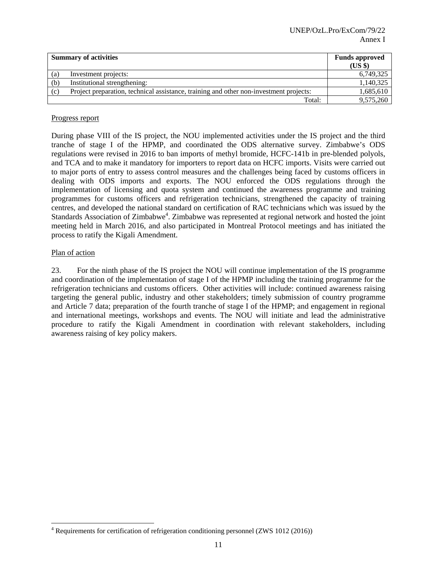|     | <b>Summary of activities</b>                                                           | <b>Funds approved</b><br>(US \$) |
|-----|----------------------------------------------------------------------------------------|----------------------------------|
| (a) | Investment projects:                                                                   | 6,749,325                        |
| (b) | Institutional strengthening:                                                           | 1,140,325                        |
| (c) | Project preparation, technical assistance, training and other non-investment projects: | 1,685,610                        |
|     | Total:                                                                                 | 9,575,260                        |

## Progress report

During phase VIII of the IS project, the NOU implemented activities under the IS project and the third tranche of stage I of the HPMP, and coordinated the ODS alternative survey. Zimbabwe's ODS regulations were revised in 2016 to ban imports of methyl bromide, HCFC-141b in pre-blended polyols, and TCA and to make it mandatory for importers to report data on HCFC imports. Visits were carried out to major ports of entry to assess control measures and the challenges being faced by customs officers in dealing with ODS imports and exports. The NOU enforced the ODS regulations through the implementation of licensing and quota system and continued the awareness programme and training programmes for customs officers and refrigeration technicians, strengthened the capacity of training centres, and developed the national standard on certification of RAC technicians which was issued by the Standards Association of Zimbabwe<sup>4</sup>. Zimbabwe was represented at regional network and hosted the joint meeting held in March 2016, and also participated in Montreal Protocol meetings and has initiated the process to ratify the Kigali Amendment.

#### Plan of action

23. For the ninth phase of the IS project the NOU will continue implementation of the IS programme and coordination of the implementation of stage I of the HPMP including the training programme for the refrigeration technicians and customs officers. Other activities will include: continued awareness raising targeting the general public, industry and other stakeholders; timely submission of country programme and Article 7 data; preparation of the fourth tranche of stage I of the HPMP; and engagement in regional and international meetings, workshops and events. The NOU will initiate and lead the administrative procedure to ratify the Kigali Amendment in coordination with relevant stakeholders, including awareness raising of key policy makers.

 4 Requirements for certification of refrigeration conditioning personnel (ZWS 1012 (2016))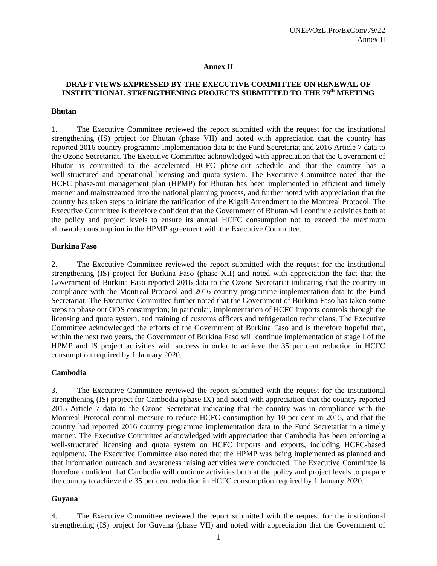#### **Annex II**

## **DRAFT VIEWS EXPRESSED BY THE EXECUTIVE COMMITTEE ON RENEWAL OF INSTITUTIONAL STRENGTHENING PROJECTS SUBMITTED TO THE 79th MEETING**

#### **Bhutan**

1. The Executive Committee reviewed the report submitted with the request for the institutional strengthening (IS) project for Bhutan (phase VII) and noted with appreciation that the country has reported 2016 country programme implementation data to the Fund Secretariat and 2016 Article 7 data to the Ozone Secretariat. The Executive Committee acknowledged with appreciation that the Government of Bhutan is committed to the accelerated HCFC phase-out schedule and that the country has a well-structured and operational licensing and quota system. The Executive Committee noted that the HCFC phase-out management plan (HPMP) for Bhutan has been implemented in efficient and timely manner and mainstreamed into the national planning process, and further noted with appreciation that the country has taken steps to initiate the ratification of the Kigali Amendment to the Montreal Protocol. The Executive Committee is therefore confident that the Government of Bhutan will continue activities both at the policy and project levels to ensure its annual HCFC consumption not to exceed the maximum allowable consumption in the HPMP agreement with the Executive Committee.

#### **Burkina Faso**

2. The Executive Committee reviewed the report submitted with the request for the institutional strengthening (IS) project for Burkina Faso (phase XII) and noted with appreciation the fact that the Government of Burkina Faso reported 2016 data to the Ozone Secretariat indicating that the country in compliance with the Montreal Protocol and 2016 country programme implementation data to the Fund Secretariat. The Executive Committee further noted that the Government of Burkina Faso has taken some steps to phase out ODS consumption; in particular, implementation of HCFC imports controls through the licensing and quota system, and training of customs officers and refrigeration technicians. The Executive Committee acknowledged the efforts of the Government of Burkina Faso and is therefore hopeful that, within the next two years, the Government of Burkina Faso will continue implementation of stage I of the HPMP and IS project activities with success in order to achieve the 35 per cent reduction in HCFC consumption required by 1 January 2020.

#### **Cambodia**

3. The Executive Committee reviewed the report submitted with the request for the institutional strengthening (IS) project for Cambodia (phase IX) and noted with appreciation that the country reported 2015 Article 7 data to the Ozone Secretariat indicating that the country was in compliance with the Montreal Protocol control measure to reduce HCFC consumption by 10 per cent in 2015, and that the country had reported 2016 country programme implementation data to the Fund Secretariat in a timely manner. The Executive Committee acknowledged with appreciation that Cambodia has been enforcing a well-structured licensing and quota system on HCFC imports and exports, including HCFC-based equipment. The Executive Committee also noted that the HPMP was being implemented as planned and that information outreach and awareness raising activities were conducted. The Executive Committee is therefore confident that Cambodia will continue activities both at the policy and project levels to prepare the country to achieve the 35 per cent reduction in HCFC consumption required by 1 January 2020.

#### **Guyana**

4. The Executive Committee reviewed the report submitted with the request for the institutional strengthening (IS) project for Guyana (phase VII) and noted with appreciation that the Government of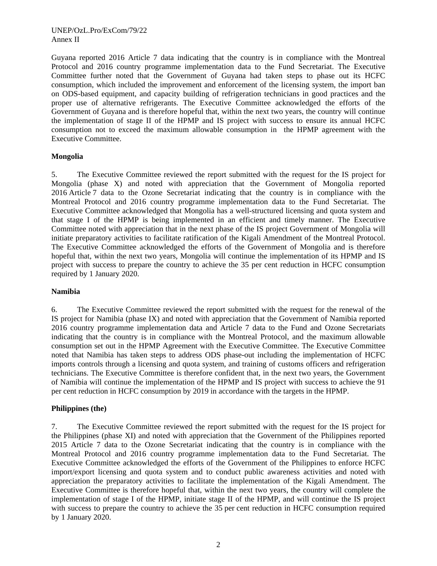Guyana reported 2016 Article 7 data indicating that the country is in compliance with the Montreal Protocol and 2016 country programme implementation data to the Fund Secretariat. The Executive Committee further noted that the Government of Guyana had taken steps to phase out its HCFC consumption, which included the improvement and enforcement of the licensing system, the import ban on ODS-based equipment, and capacity building of refrigeration technicians in good practices and the proper use of alternative refrigerants. The Executive Committee acknowledged the efforts of the Government of Guyana and is therefore hopeful that, within the next two years, the country will continue the implementation of stage II of the HPMP and IS project with success to ensure its annual HCFC consumption not to exceed the maximum allowable consumption in the HPMP agreement with the Executive Committee.

#### **Mongolia**

5. The Executive Committee reviewed the report submitted with the request for the IS project for Mongolia (phase X) and noted with appreciation that the Government of Mongolia reported 2016 Article 7 data to the Ozone Secretariat indicating that the country is in compliance with the Montreal Protocol and 2016 country programme implementation data to the Fund Secretariat. The Executive Committee acknowledged that Mongolia has a well-structured licensing and quota system and that stage I of the HPMP is being implemented in an efficient and timely manner. The Executive Committee noted with appreciation that in the next phase of the IS project Government of Mongolia will initiate preparatory activities to facilitate ratification of the Kigali Amendment of the Montreal Protocol. The Executive Committee acknowledged the efforts of the Government of Mongolia and is therefore hopeful that, within the next two years, Mongolia will continue the implementation of its HPMP and IS project with success to prepare the country to achieve the 35 per cent reduction in HCFC consumption required by 1 January 2020.

#### **Namibia**

6. The Executive Committee reviewed the report submitted with the request for the renewal of the IS project for Namibia (phase IX) and noted with appreciation that the Government of Namibia reported 2016 country programme implementation data and Article 7 data to the Fund and Ozone Secretariats indicating that the country is in compliance with the Montreal Protocol, and the maximum allowable consumption set out in the HPMP Agreement with the Executive Committee. The Executive Committee noted that Namibia has taken steps to address ODS phase-out including the implementation of HCFC imports controls through a licensing and quota system, and training of customs officers and refrigeration technicians. The Executive Committee is therefore confident that, in the next two years, the Government of Namibia will continue the implementation of the HPMP and IS project with success to achieve the 91 per cent reduction in HCFC consumption by 2019 in accordance with the targets in the HPMP.

## **Philippines (the)**

7. The Executive Committee reviewed the report submitted with the request for the IS project for the Philippines (phase XI) and noted with appreciation that the Government of the Philippines reported 2015 Article 7 data to the Ozone Secretariat indicating that the country is in compliance with the Montreal Protocol and 2016 country programme implementation data to the Fund Secretariat. The Executive Committee acknowledged the efforts of the Government of the Philippines to enforce HCFC import/export licensing and quota system and to conduct public awareness activities and noted with appreciation the preparatory activities to facilitate the implementation of the Kigali Amendment. The Executive Committee is therefore hopeful that, within the next two years, the country will complete the implementation of stage I of the HPMP, initiate stage II of the HPMP, and will continue the IS project with success to prepare the country to achieve the 35 per cent reduction in HCFC consumption required by 1 January 2020.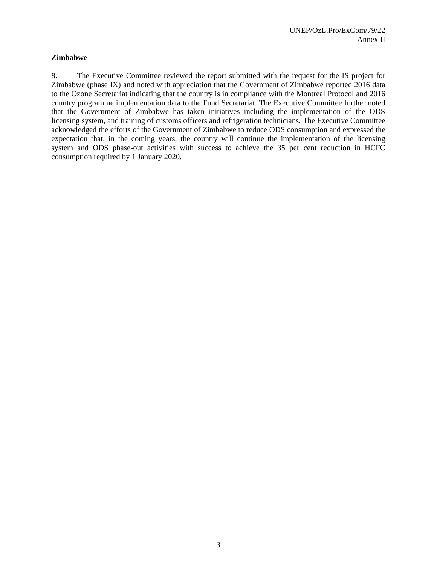## **Zimbabwe**

8. The Executive Committee reviewed the report submitted with the request for the IS project for Zimbabwe (phase IX) and noted with appreciation that the Government of Zimbabwe reported 2016 data to the Ozone Secretariat indicating that the country is in compliance with the Montreal Protocol and 2016 country programme implementation data to the Fund Secretariat. The Executive Committee further noted that the Government of Zimbabwe has taken initiatives including the implementation of the ODS licensing system, and training of customs officers and refrigeration technicians. The Executive Committee acknowledged the efforts of the Government of Zimbabwe to reduce ODS consumption and expressed the expectation that, in the coming years, the country will continue the implementation of the licensing system and ODS phase-out activities with success to achieve the 35 per cent reduction in HCFC consumption required by 1 January 2020.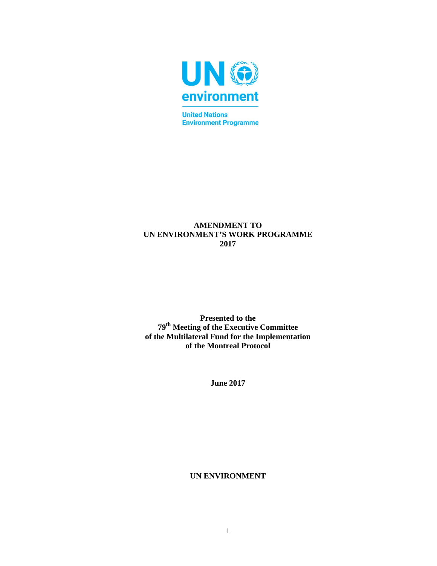

**Environment Programme** 

# **AMENDMENT TO UN ENVIRONMENT'S WORK PROGRAMME 2017**

**Presented to the 79th Meeting of the Executive Committee of the Multilateral Fund for the Implementation of the Montreal Protocol** 

**June 2017** 

**UN ENVIRONMENT**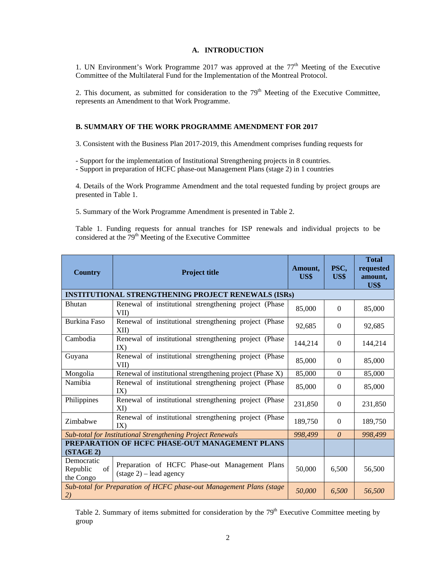#### **A. INTRODUCTION**

1. UN Environment's Work Programme 2017 was approved at the  $77<sup>th</sup>$  Meeting of the Executive Committee of the Multilateral Fund for the Implementation of the Montreal Protocol.

2. This document, as submitted for consideration to the  $79<sup>th</sup>$  Meeting of the Executive Committee, represents an Amendment to that Work Programme.

#### **B. SUMMARY OF THE WORK PROGRAMME AMENDMENT FOR 2017**

3. Consistent with the Business Plan 2017-2019, this Amendment comprises funding requests for

- Support for the implementation of Institutional Strengthening projects in 8 countries.

- Support in preparation of HCFC phase-out Management Plans (stage 2) in 1 countries

4. Details of the Work Programme Amendment and the total requested funding by project groups are presented in Table 1.

5. Summary of the Work Programme Amendment is presented in Table 2.

Table 1. Funding requests for annual tranches for ISP renewals and individual projects to be considered at the  $79<sup>th</sup>$  Meeting of the Executive Committee

| <b>Country</b>                                                              | <b>Project title</b>                                                                       | Amount,<br>US\$ | PSC,<br>US\$ | <b>Total</b><br>requested<br>amount,<br>US\$ |
|-----------------------------------------------------------------------------|--------------------------------------------------------------------------------------------|-----------------|--------------|----------------------------------------------|
|                                                                             | <b>INSTITUTIONAL STRENGTHENING PROJECT RENEWALS (ISRs)</b>                                 |                 |              |                                              |
| <b>Bhutan</b>                                                               | Renewal of institutional strengthening project (Phase<br>VII                               | 85,000          | $\Omega$     | 85,000                                       |
| <b>Burkina Faso</b>                                                         | Renewal of institutional strengthening project (Phase<br>XII                               | 92,685          | $\theta$     | 92,685                                       |
| Cambodia                                                                    | Renewal of institutional strengthening project (Phase<br>IX)                               |                 | $\Omega$     | 144,214                                      |
| Renewal of institutional strengthening project (Phase<br>Guyana<br>VII)     |                                                                                            | 85,000          | $\Omega$     | 85,000                                       |
| Renewal of institutional strengthening project (Phase X)<br>Mongolia        |                                                                                            | 85,000          | $\Omega$     | 85,000                                       |
| Namibia                                                                     | Renewal of institutional strengthening project (Phase<br>IX)                               | 85,000          | $\Omega$     | 85,000                                       |
| Philippines<br>Renewal of institutional strengthening project (Phase<br>XI) |                                                                                            | 231,850         | $\theta$     | 231,850                                      |
| Zimbabwe                                                                    | Renewal of institutional strengthening project (Phase<br>IX)                               | 189,750         | $\Omega$     | 189,750                                      |
|                                                                             | Sub-total for Institutional Strengthening Project Renewals                                 | 998,499         | $\theta$     | 998,499                                      |
| PREPARATION OF HCFC PHASE-OUT MANAGEMENT PLANS<br>(STAGE 2)                 |                                                                                            |                 |              |                                              |
| Democratic<br>Republic<br>of<br>the Congo                                   | Preparation of HCFC Phase-out Management Plans<br>$(\text{stage } 2) - \text{lead agency}$ | 50,000          | 6,500        | 56,500                                       |
| Sub-total for Preparation of HCFC phase-out Management Plans (stage<br>2)   |                                                                                            | 50,000          | 6,500        | 56,500                                       |

Table 2. Summary of items submitted for consideration by the 79<sup>th</sup> Executive Committee meeting by group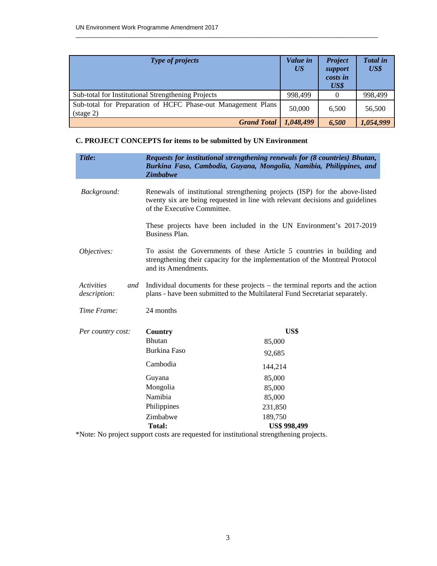| <b>Type of projects</b>                                                             | Value in<br>$\overline{US}$ | <b>Project</b><br>support<br>costs in<br>US\$ | <b>Total</b> in<br>US\$ |
|-------------------------------------------------------------------------------------|-----------------------------|-----------------------------------------------|-------------------------|
| Sub-total for Institutional Strengthening Projects                                  | 998,499                     |                                               | 998,499                 |
| Sub-total for Preparation of HCFC Phase-out Management Plans<br>$(\text{stage } 2)$ | 50,000                      | 6.500                                         | 56,500                  |
| <b>Grand Total</b>                                                                  | 1,048,499                   | 6,500                                         | 1,054,999               |

 $\_$  , and the set of the set of the set of the set of the set of the set of the set of the set of the set of the set of the set of the set of the set of the set of the set of the set of the set of the set of the set of th

# **C. PROJECT CONCEPTS for items to be submitted by UN Environment**

| Title:                                   | <b>Zimbabwe</b>                                                                                                                                                                             | Requests for institutional strengthening renewals for (8 countries) Bhutan,<br>Burkina Faso, Cambodia, Guyana, Mongolia, Namibia, Philippines, and |  |
|------------------------------------------|---------------------------------------------------------------------------------------------------------------------------------------------------------------------------------------------|----------------------------------------------------------------------------------------------------------------------------------------------------|--|
| Background:                              | Renewals of institutional strengthening projects (ISP) for the above-listed<br>twenty six are being requested in line with relevant decisions and guidelines<br>of the Executive Committee. |                                                                                                                                                    |  |
|                                          | Business Plan.                                                                                                                                                                              | These projects have been included in the UN Environment's 2017-2019                                                                                |  |
| Objectives:                              | To assist the Governments of these Article 5 countries in building and<br>strengthening their capacity for the implementation of the Montreal Protocol<br>and its Amendments.               |                                                                                                                                                    |  |
| <b>Activities</b><br>and<br>description: | Individual documents for these projects – the terminal reports and the action<br>plans - have been submitted to the Multilateral Fund Secretariat separately.                               |                                                                                                                                                    |  |
| Time Frame:                              | 24 months                                                                                                                                                                                   |                                                                                                                                                    |  |
| Per country cost:                        | <b>Country</b>                                                                                                                                                                              | US\$                                                                                                                                               |  |
|                                          | <b>Bhutan</b>                                                                                                                                                                               | 85,000                                                                                                                                             |  |
|                                          | Burkina Faso                                                                                                                                                                                | 92,685                                                                                                                                             |  |
|                                          | Cambodia                                                                                                                                                                                    | 144,214                                                                                                                                            |  |
|                                          | Guyana                                                                                                                                                                                      | 85,000                                                                                                                                             |  |
|                                          | Mongolia                                                                                                                                                                                    | 85,000                                                                                                                                             |  |
|                                          | Namibia                                                                                                                                                                                     | 85,000                                                                                                                                             |  |
|                                          | Philippines                                                                                                                                                                                 | 231,850                                                                                                                                            |  |
|                                          | Zimbabwe                                                                                                                                                                                    | 189,750                                                                                                                                            |  |
|                                          | Total:                                                                                                                                                                                      | <b>US\$ 998,499</b>                                                                                                                                |  |

\*Note: No project support costs are requested for institutional strengthening projects.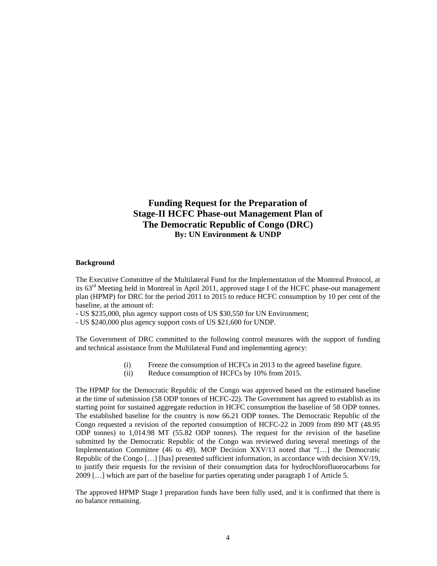# **Funding Request for the Preparation of Stage-II HCFC Phase-out Management Plan of The Democratic Republic of Congo (DRC) By: UN Environment & UNDP**

#### **Background**

The Executive Committee of the Multilateral Fund for the Implementation of the Montreal Protocol, at its  $63<sup>rd</sup>$  Meeting held in Montreal in April 2011, approved stage I of the HCFC phase-out management plan (HPMP) for DRC for the period 2011 to 2015 to reduce HCFC consumption by 10 per cent of the baseline, at the amount of:

- US \$235,000, plus agency support costs of US \$30,550 for UN Environment;

- US \$240,000 plus agency support costs of US \$21,600 for UNDP.

The Government of DRC committed to the following control measures with the support of funding and technical assistance from the Multilateral Fund and implementing agency:

- (i) Freeze the consumption of HCFCs in 2013 to the agreed baseline figure.
- (ii) Reduce consumption of HCFCs by 10% from 2015.

The HPMP for the Democratic Republic of the Congo was approved based on the estimated baseline at the time of submission (58 ODP tonnes of HCFC-22). The Government has agreed to establish as its starting point for sustained aggregate reduction in HCFC consumption the baseline of 58 ODP tonnes. The established baseline for the country is now 66.21 ODP tonnes. The Democratic Republic of the Congo requested a revision of the reported consumption of HCFC-22 in 2009 from 890 MT (48.95 ODP tonnes) to 1,014.98 MT (55.82 ODP tonnes). The request for the revision of the baseline submitted by the Democratic Republic of the Congo was reviewed during several meetings of the Implementation Committee (46 to 49). MOP Decision XXV/13 noted that "[…] the Democratic Republic of the Congo […] [has] presented sufficient information, in accordance with decision XV/19, to justify their requests for the revision of their consumption data for hydrochlorofluorocarbons for 2009 […] which are part of the baseline for parties operating under paragraph 1 of Article 5.

The approved HPMP Stage I preparation funds have been fully used, and it is confirmed that there is no balance remaining.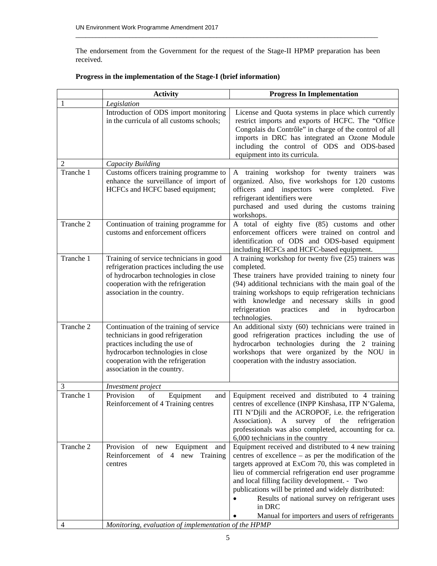The endorsement from the Government for the request of the Stage-II HPMP preparation has been received.

 $\_$  , and the set of the set of the set of the set of the set of the set of the set of the set of the set of the set of the set of the set of the set of the set of the set of the set of the set of the set of the set of th

|           | <b>Activity</b>                                                                                                                                                                                                          | <b>Progress In Implementation</b>                                                                                                                                                                                                                                                                                                                                                                                                                                |
|-----------|--------------------------------------------------------------------------------------------------------------------------------------------------------------------------------------------------------------------------|------------------------------------------------------------------------------------------------------------------------------------------------------------------------------------------------------------------------------------------------------------------------------------------------------------------------------------------------------------------------------------------------------------------------------------------------------------------|
| 1         | Legislation                                                                                                                                                                                                              |                                                                                                                                                                                                                                                                                                                                                                                                                                                                  |
|           | Introduction of ODS import monitoring<br>in the curricula of all customs schools;                                                                                                                                        | License and Quota systems in place which currently<br>restrict imports and exports of HCFC. The "Office<br>Congolais du Contrôle" in charge of the control of all<br>imports in DRC has integrated an Ozone Module<br>including the control of ODS and ODS-based<br>equipment into its curricula.                                                                                                                                                                |
| 2         | Capacity Building                                                                                                                                                                                                        |                                                                                                                                                                                                                                                                                                                                                                                                                                                                  |
| Tranche 1 | Customs officers training programme to<br>enhance the surveillance of import of<br>HCFCs and HCFC based equipment;                                                                                                       | A training workshop for twenty trainers<br>was<br>organized. Also, five workshops for 120 customs<br>officers and inspectors were completed.<br>Five<br>refrigerant identifiers were<br>purchased and used during the customs training<br>workshops.                                                                                                                                                                                                             |
| Tranche 2 | Continuation of training programme for<br>customs and enforcement officers                                                                                                                                               | A total of eighty five (85) customs and other<br>enforcement officers were trained on control and<br>identification of ODS and ODS-based equipment<br>including HCFCs and HCFC-based equipment.                                                                                                                                                                                                                                                                  |
| Tranche 1 | Training of service technicians in good<br>refrigeration practices including the use<br>of hydrocarbon technologies in close<br>cooperation with the refrigeration<br>association in the country.                        | A training workshop for twenty five (25) trainers was<br>completed.<br>These trainers have provided training to ninety four<br>(94) additional technicians with the main goal of the<br>training workshops to equip refrigeration technicians<br>with knowledge and necessary skills in good<br>refrigeration<br>practices<br>and<br>hydrocarbon<br>in<br>technologies.                                                                                          |
| Tranche 2 | Continuation of the training of service<br>technicians in good refrigeration<br>practices including the use of<br>hydrocarbon technologies in close<br>cooperation with the refrigeration<br>association in the country. | An additional sixty (60) technicians were trained in<br>good refrigeration practices including the use of<br>hydrocarbon technologies during the 2 training<br>workshops that were organized by the NOU in<br>cooperation with the industry association.                                                                                                                                                                                                         |
| 3         | <i>Investment project</i>                                                                                                                                                                                                |                                                                                                                                                                                                                                                                                                                                                                                                                                                                  |
| Tranche 1 | Provision<br>of<br>Equipment<br>and<br>Reinforcement of 4 Training centres                                                                                                                                               | Equipment received and distributed to 4 training<br>centres of excellence (INPP Kinshasa, ITP N'Galema,<br>ITI N'Djili and the ACROPOF, i.e. the refrigeration<br>Association).<br>of<br>the<br>refrigeration<br>A<br>survey<br>professionals was also completed, accounting for ca.<br>6,000 technicians in the country                                                                                                                                         |
| Tranche 2 | Provision<br>of new<br>Equipment<br>and<br>Reinforcement of 4 new<br>Training<br>centres                                                                                                                                 | Equipment received and distributed to 4 new training<br>centres of excellence - as per the modification of the<br>targets approved at ExCom 70, this was completed in<br>lieu of commercial refrigeration end user programme<br>and local filling facility development. - Two<br>publications will be printed and widely distributed:<br>Results of national survey on refrigerant uses<br>$\bullet$<br>in DRC<br>Manual for importers and users of refrigerants |
| 4         | Monitoring, evaluation of implementation of the HPMP                                                                                                                                                                     |                                                                                                                                                                                                                                                                                                                                                                                                                                                                  |

# **Progress in the implementation of the Stage-I (brief information)**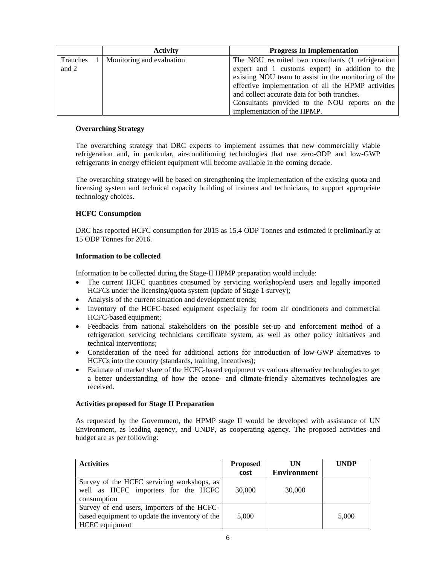|          | <b>Activity</b>           | <b>Progress In Implementation</b>                    |
|----------|---------------------------|------------------------------------------------------|
| Tranches | Monitoring and evaluation | The NOU recruited two consultants (1 refrigeration   |
| and 2    |                           | expert and 1 customs expert) in addition to the      |
|          |                           | existing NOU team to assist in the monitoring of the |
|          |                           | effective implementation of all the HPMP activities  |
|          |                           | and collect accurate data for both tranches.         |
|          |                           | Consultants provided to the NOU reports on the       |
|          |                           | implementation of the HPMP.                          |

#### **Overarching Strategy**

The overarching strategy that DRC expects to implement assumes that new commercially viable refrigeration and, in particular, air-conditioning technologies that use zero-ODP and low-GWP refrigerants in energy efficient equipment will become available in the coming decade.

The overarching strategy will be based on strengthening the implementation of the existing quota and licensing system and technical capacity building of trainers and technicians, to support appropriate technology choices.

#### **HCFC Consumption**

DRC has reported HCFC consumption for 2015 as 15.4 ODP Tonnes and estimated it preliminarily at 15 ODP Tonnes for 2016.

#### **Information to be collected**

Information to be collected during the Stage-II HPMP preparation would include:

- The current HCFC quantities consumed by servicing workshop/end users and legally imported HCFCs under the licensing/quota system (update of Stage 1 survey);
- Analysis of the current situation and development trends;
- Inventory of the HCFC-based equipment especially for room air conditioners and commercial HCFC-based equipment;
- Feedbacks from national stakeholders on the possible set-up and enforcement method of a refrigeration servicing technicians certificate system, as well as other policy initiatives and technical interventions;
- Consideration of the need for additional actions for introduction of low-GWP alternatives to HCFCs into the country (standards, training, incentives);
- Estimate of market share of the HCFC-based equipment vs various alternative technologies to get a better understanding of how the ozone- and climate-friendly alternatives technologies are received.

#### **Activities proposed for Stage II Preparation**

As requested by the Government, the HPMP stage II would be developed with assistance of UN Environment, as leading agency, and UNDP, as cooperating agency. The proposed activities and budget are as per following:

| <b>Activities</b>                                                                                                      | <b>Proposed</b><br>cost | UN<br><b>Environment</b> | <b>UNDP</b> |
|------------------------------------------------------------------------------------------------------------------------|-------------------------|--------------------------|-------------|
| Survey of the HCFC servicing workshops, as<br>well as HCFC importers for the HCFC<br>consumption                       | 30,000                  | 30,000                   |             |
| Survey of end users, importers of the HCFC-<br>based equipment to update the inventory of the<br><b>HCFC</b> equipment | 5.000                   |                          | 5,000       |